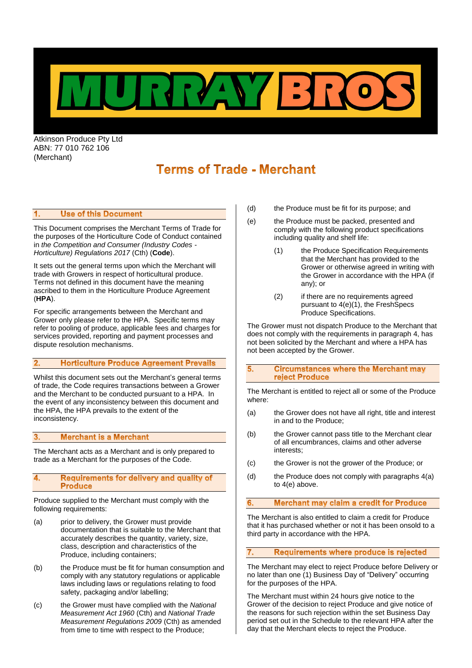

Atkinson Produce Pty Ltd ABN: 77 010 762 106 (Merchant)

# **Terms of Trade - Merchant**

#### $\mathbf{1}$ . **Use of this Document**

This Document comprises the Merchant Terms of Trade for the purposes of the Horticulture Code of Conduct contained in *the Competition and Consumer (Industry Codes - Horticulture) Regulations 2017* (Cth) (**Code**).

It sets out the general terms upon which the Merchant will trade with Growers in respect of horticultural produce. Terms not defined in this document have the meaning ascribed to them in the Horticulture Produce Agreement (**HPA**).

For specific arrangements between the Merchant and Grower only please refer to the HPA. Specific terms may refer to pooling of produce, applicable fees and charges for services provided, reporting and payment processes and dispute resolution mechanisms.

#### **Horticulture Produce Agreement Prevails**  $2.$

Whilst this document sets out the Merchant's general terms of trade, the Code requires transactions between a Grower and the Merchant to be conducted pursuant to a HPA. In the event of any inconsistency between this document and the HPA, the HPA prevails to the extent of the inconsistency.

#### $3.$ **Merchant is a Merchant**

The Merchant acts as a Merchant and is only prepared to trade as a Merchant for the purposes of the Code.

## <span id="page-0-0"></span>4. Requirements for delivery and quality of **Produce**

Produce supplied to the Merchant must comply with the following requirements:

- <span id="page-0-1"></span>(a) prior to delivery, the Grower must provide documentation that is suitable to the Merchant that accurately describes the quantity, variety, size, class, description and characteristics of the Produce, including containers;
- (b) the Produce must be fit for human consumption and comply with any statutory regulations or applicable laws including laws or regulations relating to food safety, packaging and/or labelling;
- (c) the Grower must have complied with the *National Measurement Act 1960* (Cth) and *National Trade Measurement Regulations 2009* (Cth) as amended from time to time with respect to the Produce;
- (d) the Produce must be fit for its purpose; and
- <span id="page-0-2"></span>(e) the Produce must be packed, presented and comply with the following product specifications including quality and shelf life:
	- (1) the Produce Specification Requirements that the Merchant has provided to the Grower or otherwise agreed in writing with the Grower in accordance with the HPA (if any); or
	- (2) if there are no requirements agreed pursuant to 4(e)(1), the FreshSpecs Produce Specifications.

The Grower must not dispatch Produce to the Merchant that does not comply with the requirements in paragraph [4,](#page-0-0) has not been solicited by the Merchant and where a HPA has not been accepted by the Grower.

5. **Circumstances where the Merchant may** reject Produce

The Merchant is entitled to reject all or some of the Produce where:

- (a) the Grower does not have all right, title and interest in and to the Produce;
- (b) the Grower cannot pass title to the Merchant clear of all encumbrances, claims and other adverse interests;
- (c) the Grower is not the grower of the Produce; or
- (d) the Produce does not comply with paragraphs [4\(a\)](#page-0-1) to [4\(e\)](#page-0-2) above.

#### 6. **Merchant may claim a credit for Produce**

The Merchant is also entitled to claim a credit for Produce that it has purchased whether or not it has been onsold to a third party in accordance with the HPA.

# Requirements where produce is rejected

The Merchant may elect to reject Produce before Delivery or no later than one (1) Business Day of "Delivery" occurring for the purposes of the HPA.

The Merchant must within 24 hours give notice to the Grower of the decision to reject Produce and give notice of the reasons for such rejection within the set Business Day period set out in the Schedule to the relevant HPA after the day that the Merchant elects to reject the Produce.